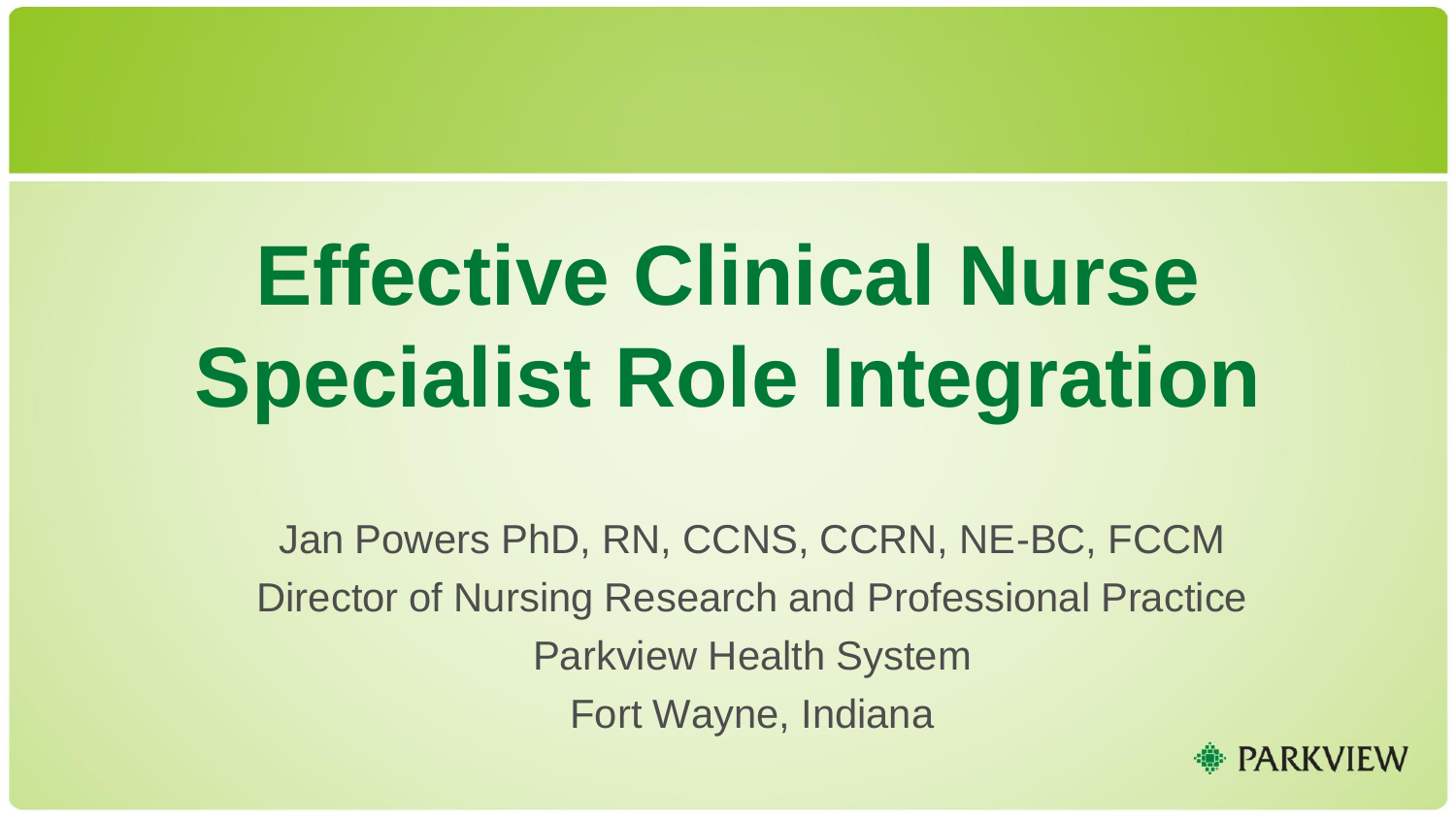# **Effective Clinical Nurse Specialist Role Integration**

Jan Powers PhD, RN, CCNS, CCRN, NE-BC, FCCM Director of Nursing Research and Professional Practice Parkview Health System Fort Wayne, Indiana

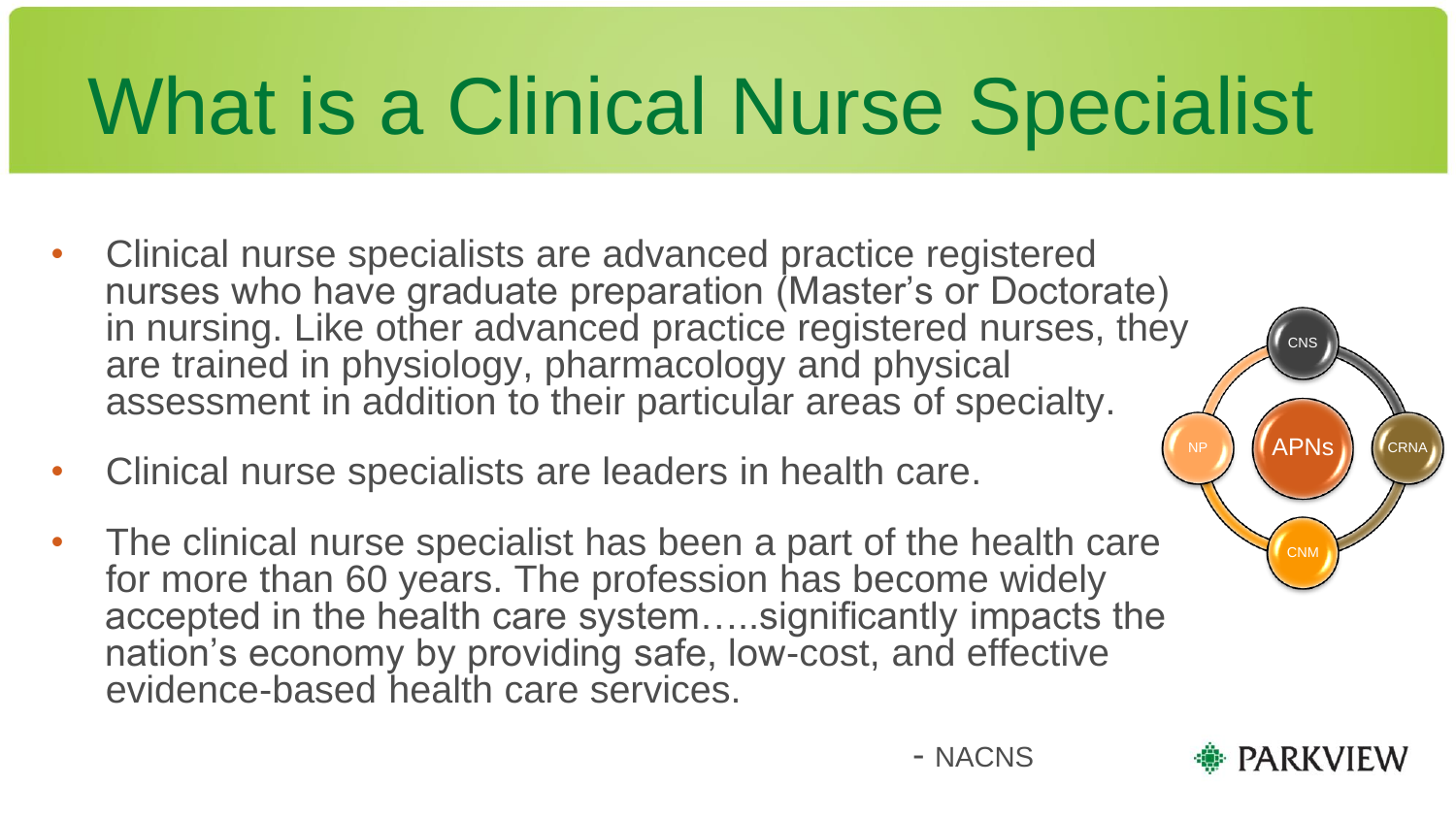### What is a Clinical Nurse Specialist

- Clinical nurse specialists are advanced practice registered nurses who have graduate preparation (Master's or Doctorate) in nursing. Like other advanced practice registered nurses, they are trained in physiology, pharmacology and physical assessment in addition to their particular areas of specialty.
- Clinical nurse specialists are leaders in health care.
- The clinical nurse specialist has been a part of the health care for more than 60 years. The profession has become widely accepted in the health care system.....significantly impacts the nation's economy by providing safe, low-cost, and effective evidence-based health care services.



APNs

NP

**CNM** 

CRNA

CNS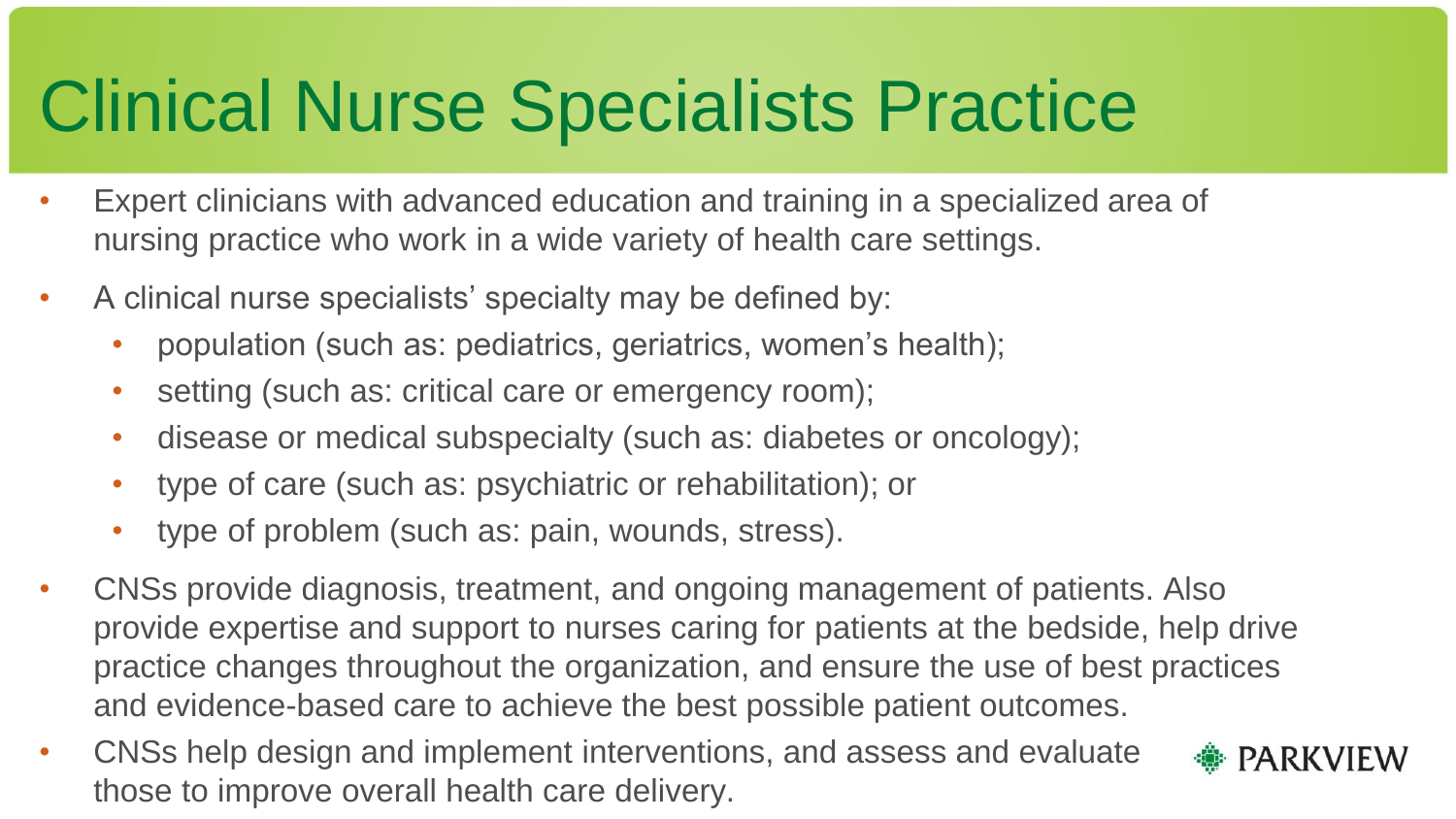#### Clinical Nurse Specialists Practice

- Expert clinicians with advanced education and training in a specialized area of nursing practice who work in a wide variety of health care settings.
- A clinical nurse specialists' specialty may be defined by:
	- population (such as: pediatrics, geriatrics, women's health);
	- setting (such as: critical care or emergency room);
	- disease or medical subspecialty (such as: diabetes or oncology);
	- type of care (such as: psychiatric or rehabilitation); or
	- type of problem (such as: pain, wounds, stress).
- CNSs provide diagnosis, treatment, and ongoing management of patients. Also provide expertise and support to nurses caring for patients at the bedside, help drive practice changes throughout the organization, and ensure the use of best practices and evidence-based care to achieve the best possible patient outcomes.
- CNSs help design and implement interventions, and assess and evaluate those to improve overall health care delivery.

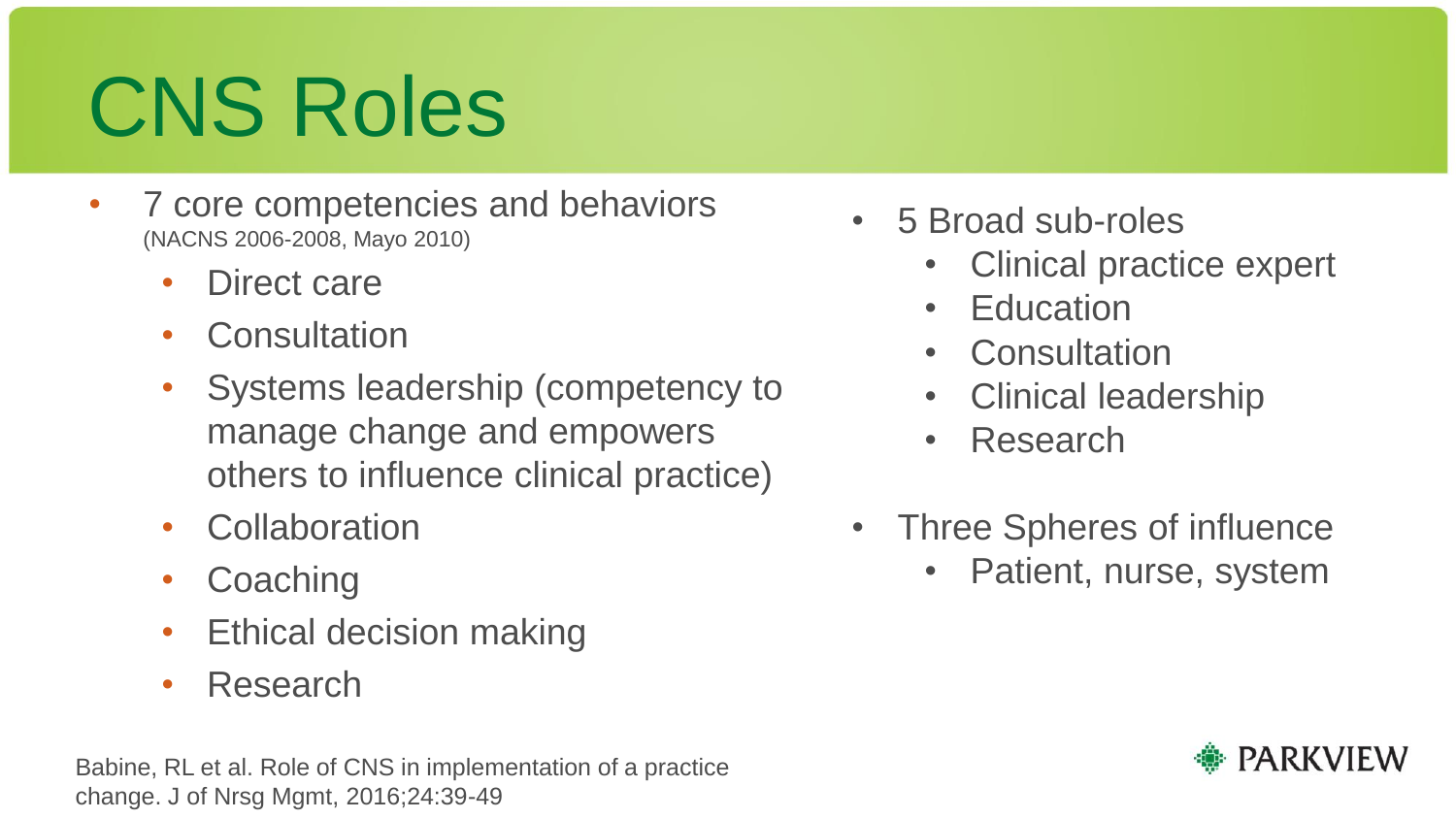# CNS Roles

- 7 core competencies and behaviors (NACNS 2006-2008, Mayo 2010)
	- Direct care
	- Consultation
	- Systems leadership (competency to manage change and empowers others to influence clinical practice)
	- **Collaboration**
	- **Coaching**
	- Ethical decision making
	- Research

Babine, RL et al. Role of CNS in implementation of a practice change. J of Nrsg Mgmt, 2016;24:39-49

- 5 Broad sub-roles
	- Clinical practice expert
	- **Education**
	- **Consultation**
	- Clinical leadership
	- Research
- Three Spheres of influence
	- Patient, nurse, system

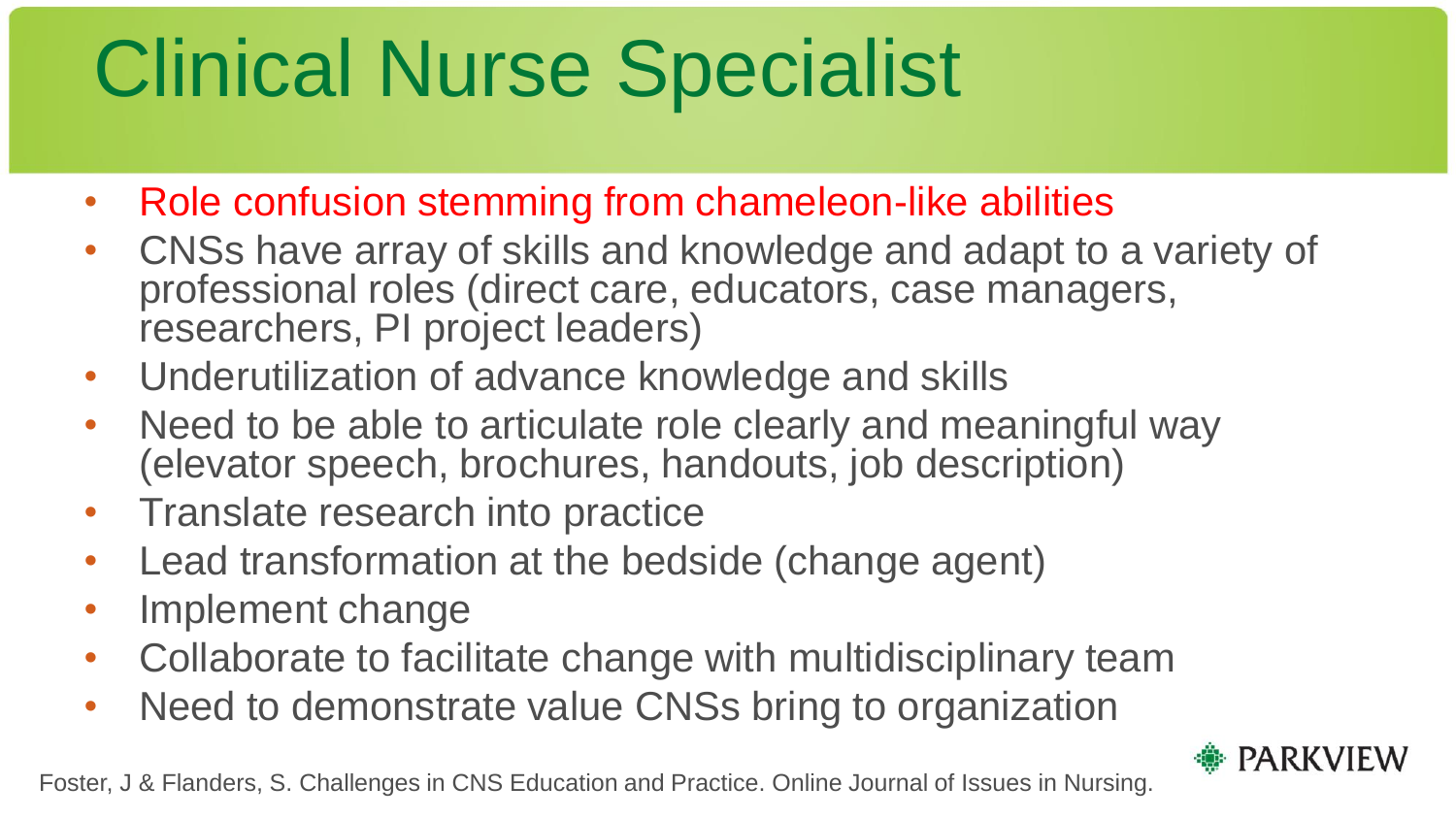# Clinical Nurse Specialist

- Role confusion stemming from chameleon-like abilities
- CNSs have array of skills and knowledge and adapt to a variety of professional roles (direct care, educators, case managers, researchers, PI project leaders)
- Underutilization of advance knowledge and skills
- Need to be able to articulate role clearly and meaningful way (elevator speech, brochures, handouts, job description)
- Translate research into practice
- Lead transformation at the bedside (change agent)
- Implement change
- Collaborate to facilitate change with multidisciplinary team
- Need to demonstrate value CNSs bring to organization



Foster, J & Flanders, S. Challenges in CNS Education and Practice. Online Journal of Issues in Nursing.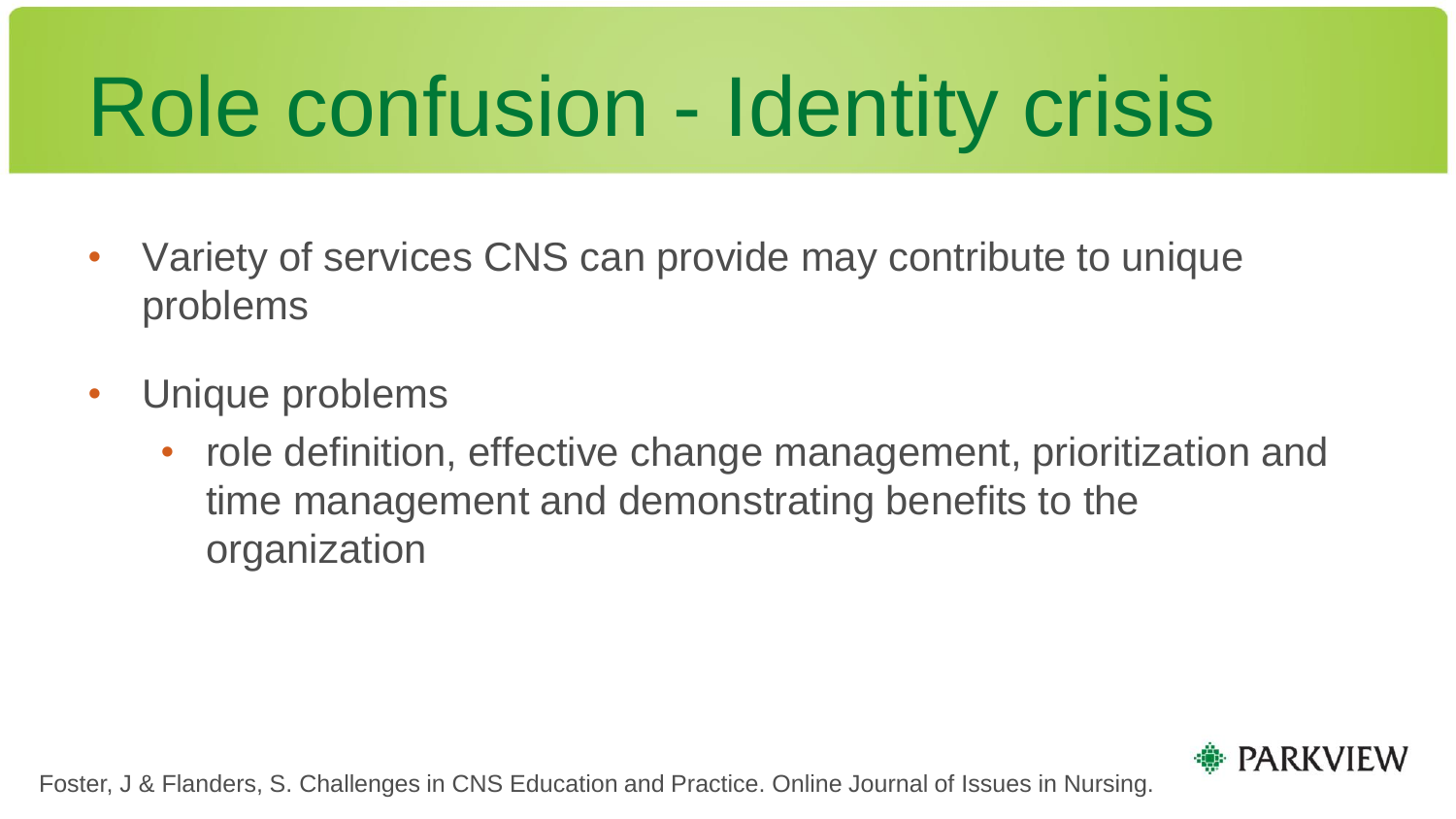# Role confusion - Identity crisis

- Variety of services CNS can provide may contribute to unique problems
- Unique problems
	- role definition, effective change management, prioritization and time management and demonstrating benefits to the organization



Foster, J & Flanders, S. Challenges in CNS Education and Practice. Online Journal of Issues in Nursing.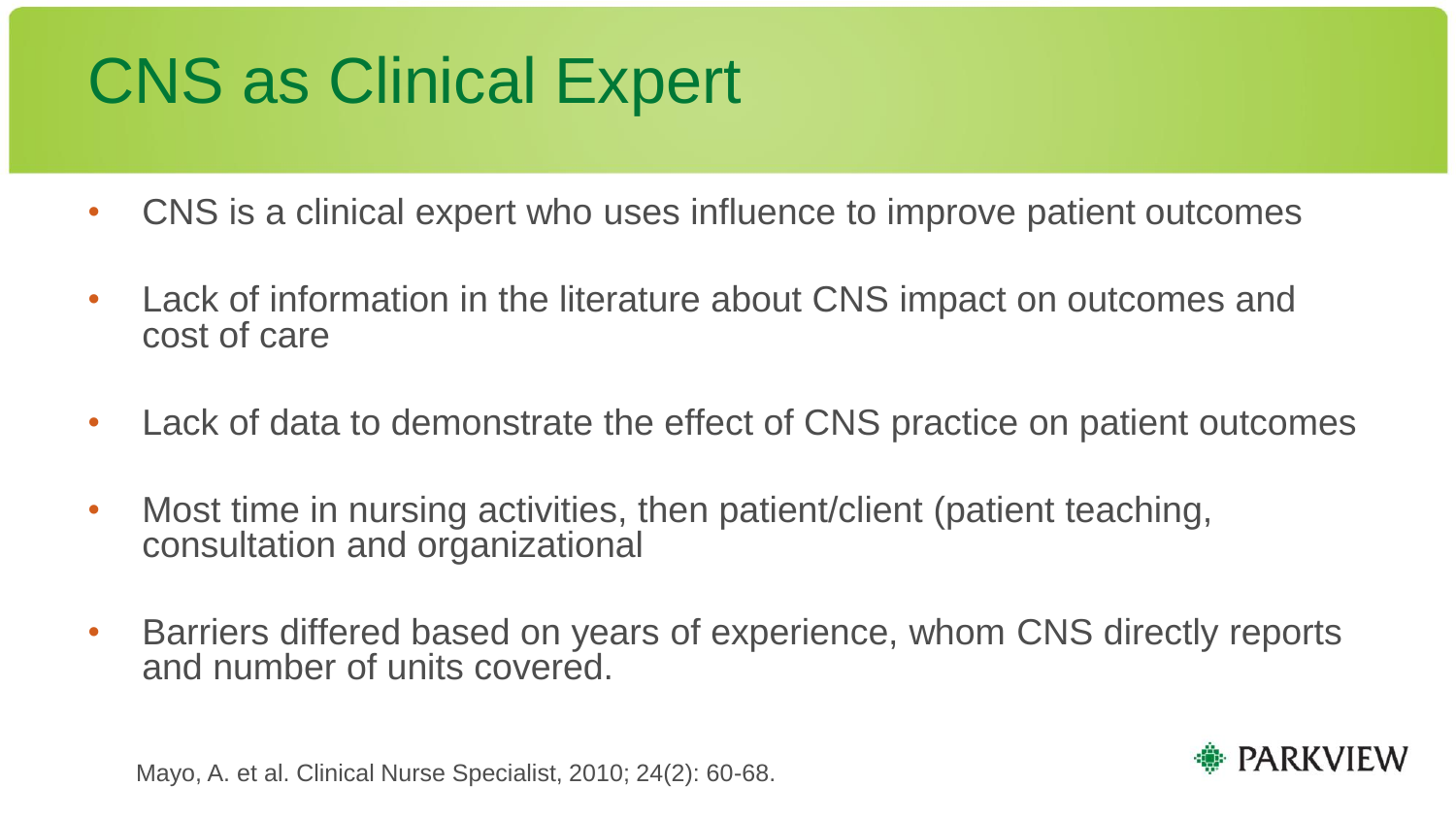#### CNS as Clinical Expert

- CNS is a clinical expert who uses influence to improve patient outcomes
- Lack of information in the literature about CNS impact on outcomes and cost of care
- Lack of data to demonstrate the effect of CNS practice on patient outcomes
- Most time in nursing activities, then patient/client (patient teaching, consultation and organizational
- Barriers differed based on years of experience, whom CNS directly reports and number of units covered.

Mayo, A. et al. Clinical Nurse Specialist, 2010; 24(2): 60-68.

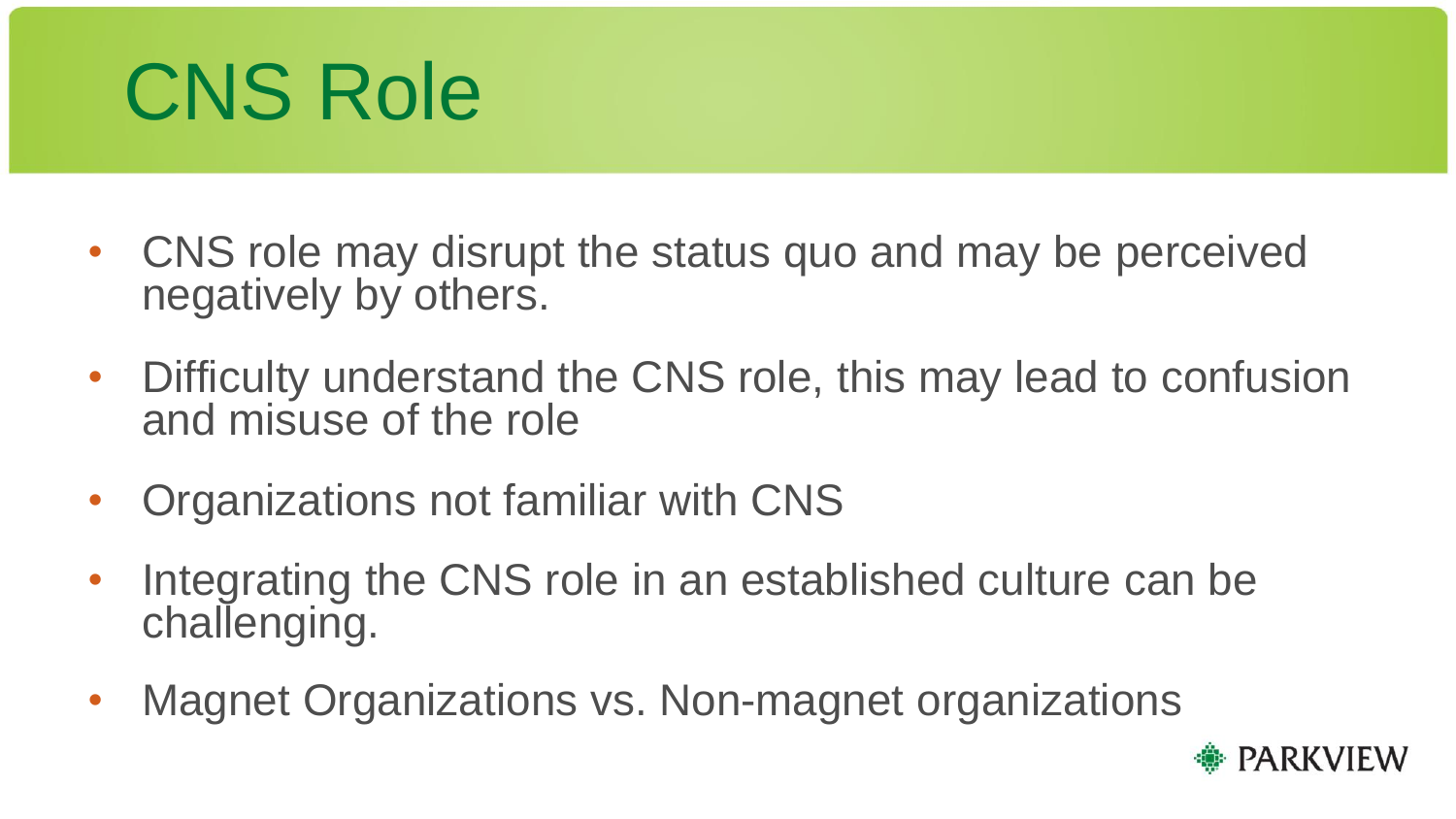#### CNS Role

- CNS role may disrupt the status quo and may be perceived negatively by others.
- Difficulty understand the CNS role, this may lead to confusion and misuse of the role
- Organizations not familiar with CNS
- Integrating the CNS role in an established culture can be challenging.
- Magnet Organizations vs. Non-magnet organizations

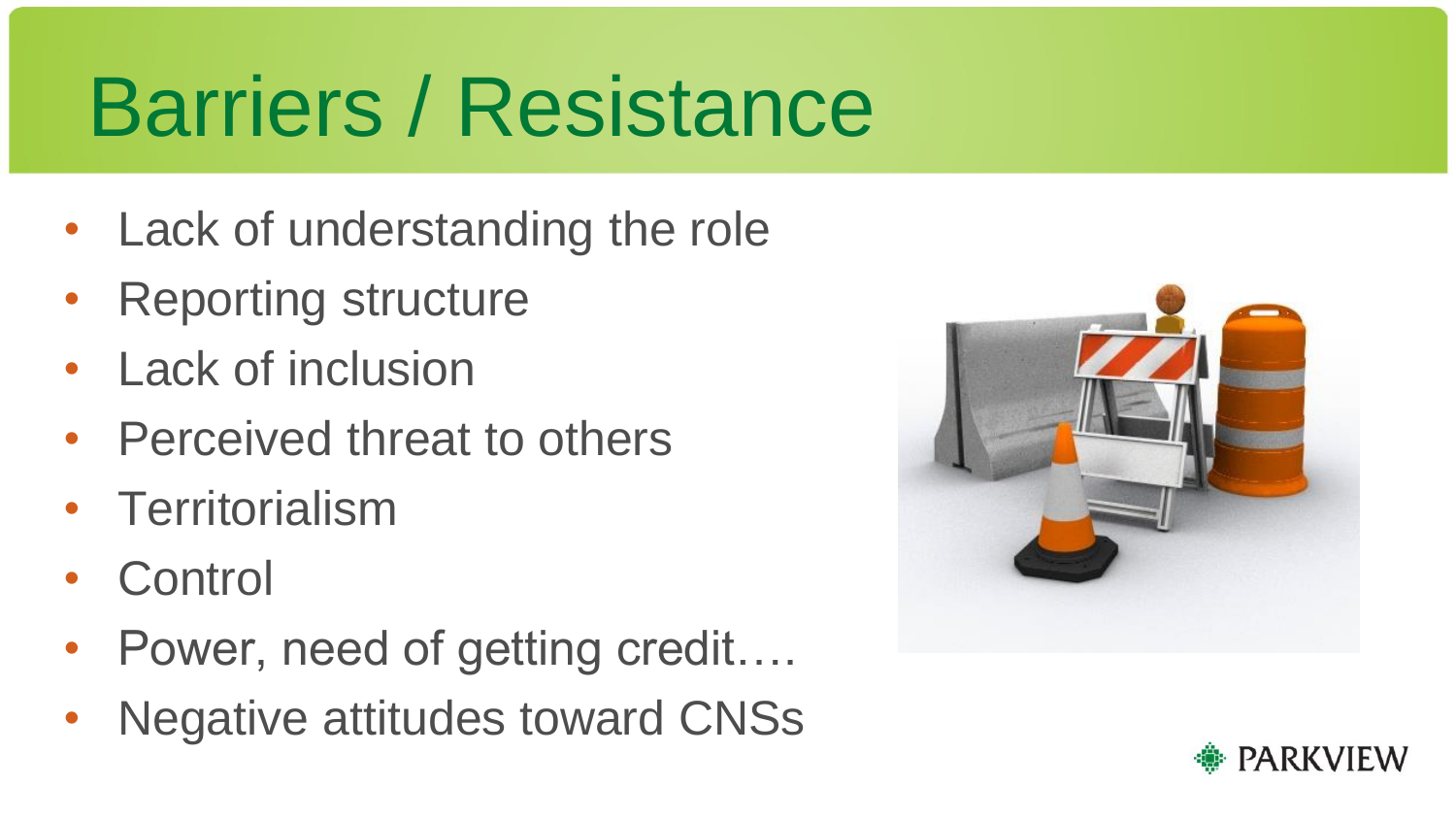### Barriers / Resistance

- Lack of understanding the role
- Reporting structure
- **Lack of inclusion**
- Perceived threat to others
- Territorialism
- **Control**
- Power, need of getting credit….
- Negative attitudes toward CNSs



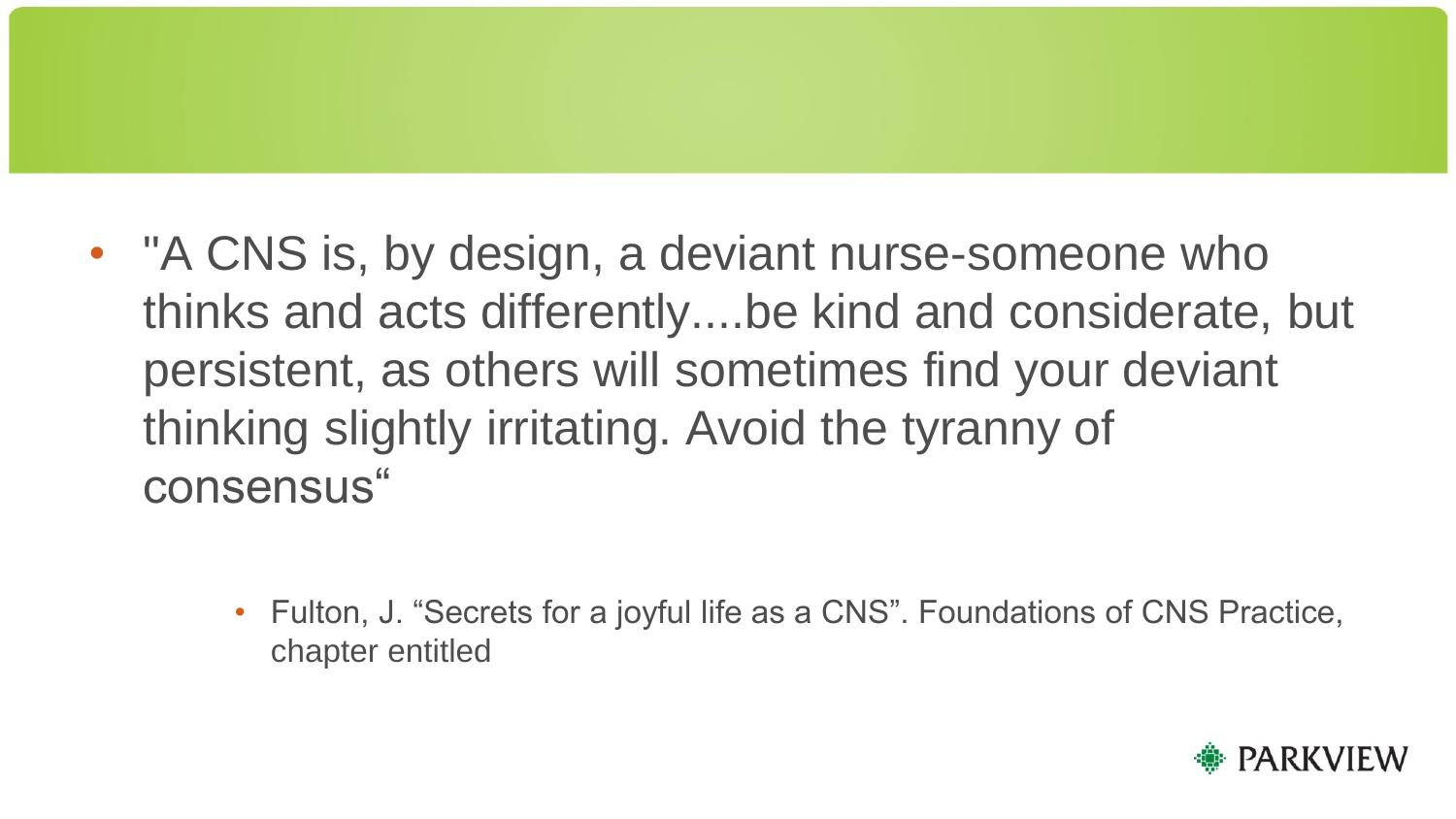- "A CNS is, by design, a deviant nurse-someone who thinks and acts differently....be kind and considerate, but persistent, as others will sometimes find your deviant thinking slightly irritating. Avoid the tyranny of consensus"
	- Fulton, J. "Secrets for a joyful life as a CNS". Foundations of CNS Practice, chapter entitled

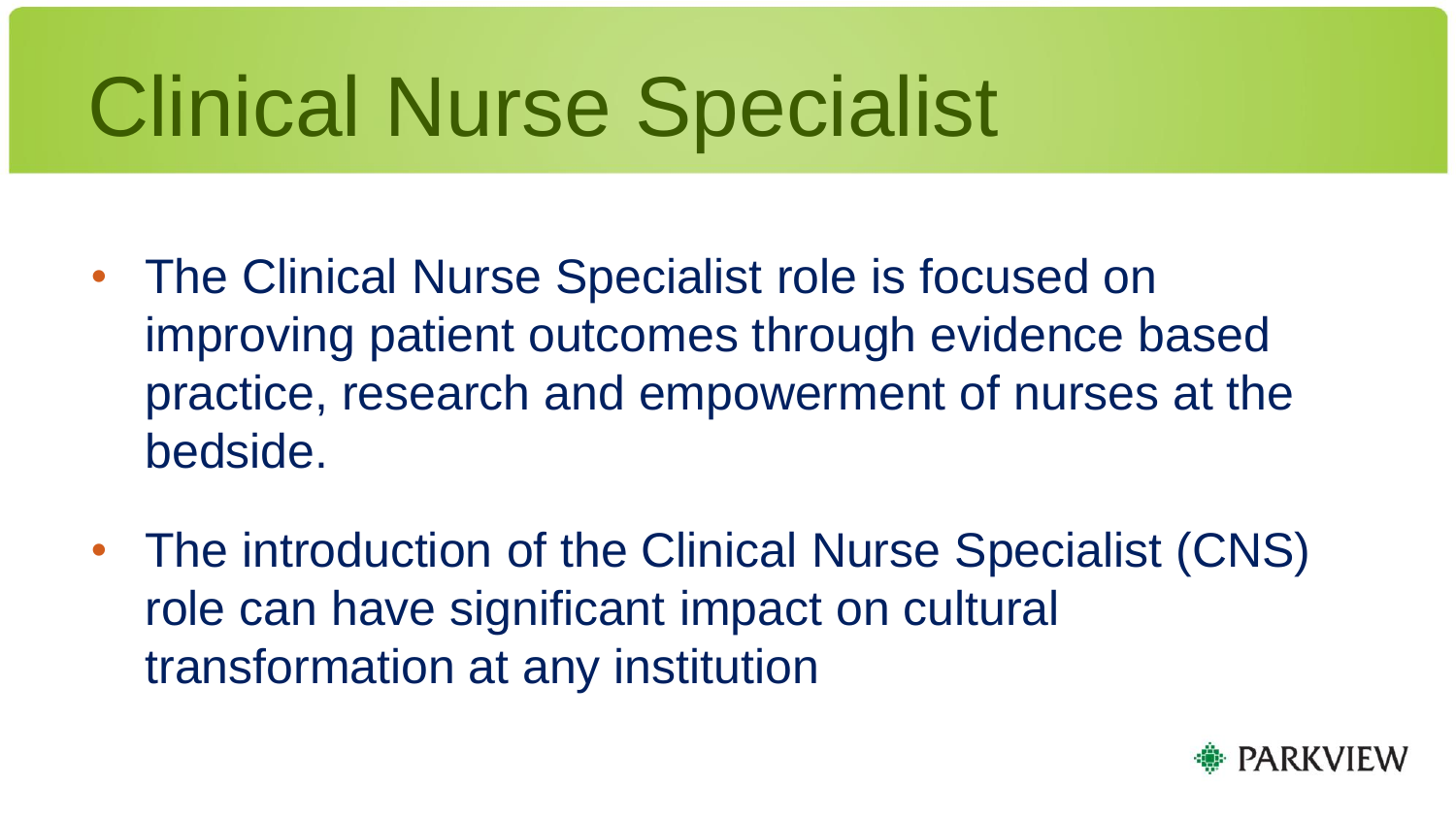# Clinical Nurse Specialist

- The Clinical Nurse Specialist role is focused on improving patient outcomes through evidence based practice, research and empowerment of nurses at the bedside.
- The introduction of the Clinical Nurse Specialist (CNS) role can have significant impact on cultural transformation at any institution

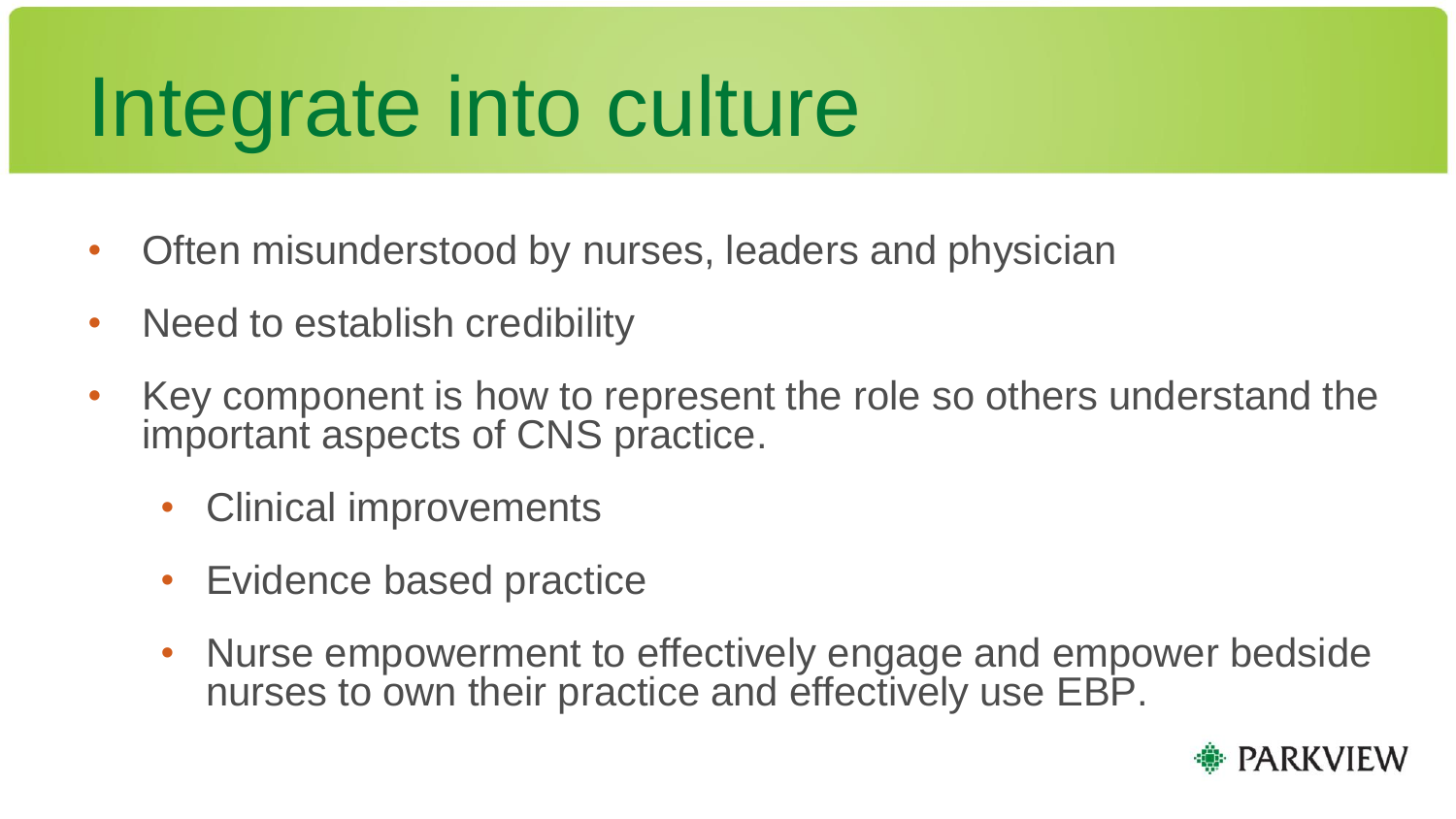# Integrate into culture

- Often misunderstood by nurses, leaders and physician
- Need to establish credibility
- Key component is how to represent the role so others understand the important aspects of CNS practice.
	- Clinical improvements
	- Evidence based practice
	- Nurse empowerment to effectively engage and empower bedside nurses to own their practice and effectively use EBP.

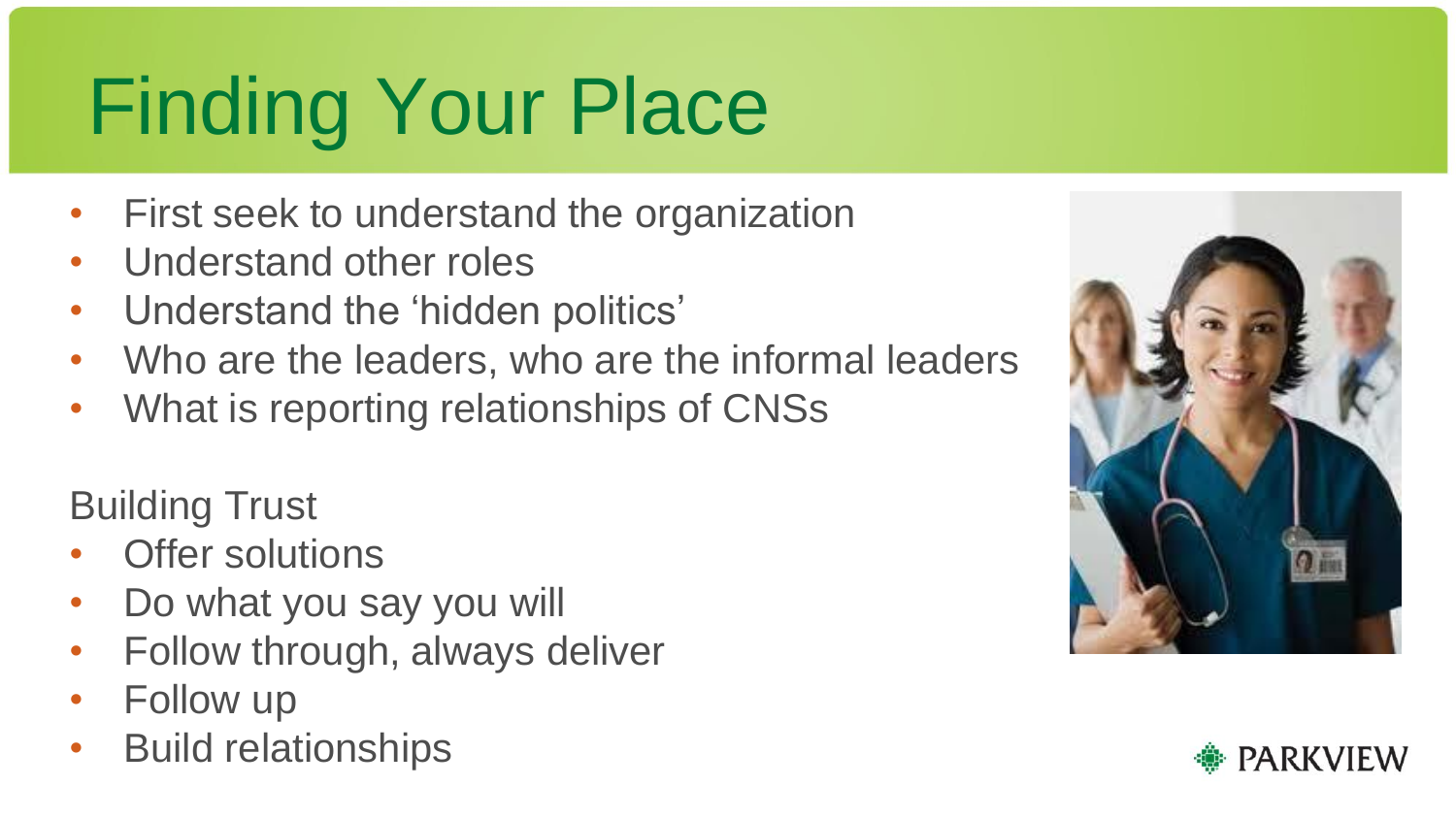### Finding Your Place

- First seek to understand the organization
- Understand other roles
- Understand the 'hidden politics'
- Who are the leaders, who are the informal leaders
- What is reporting relationships of CNSs

Building Trust

- **Offer solutions**
- Do what you say you will
- Follow through, always deliver
- Follow up
- Build relationships



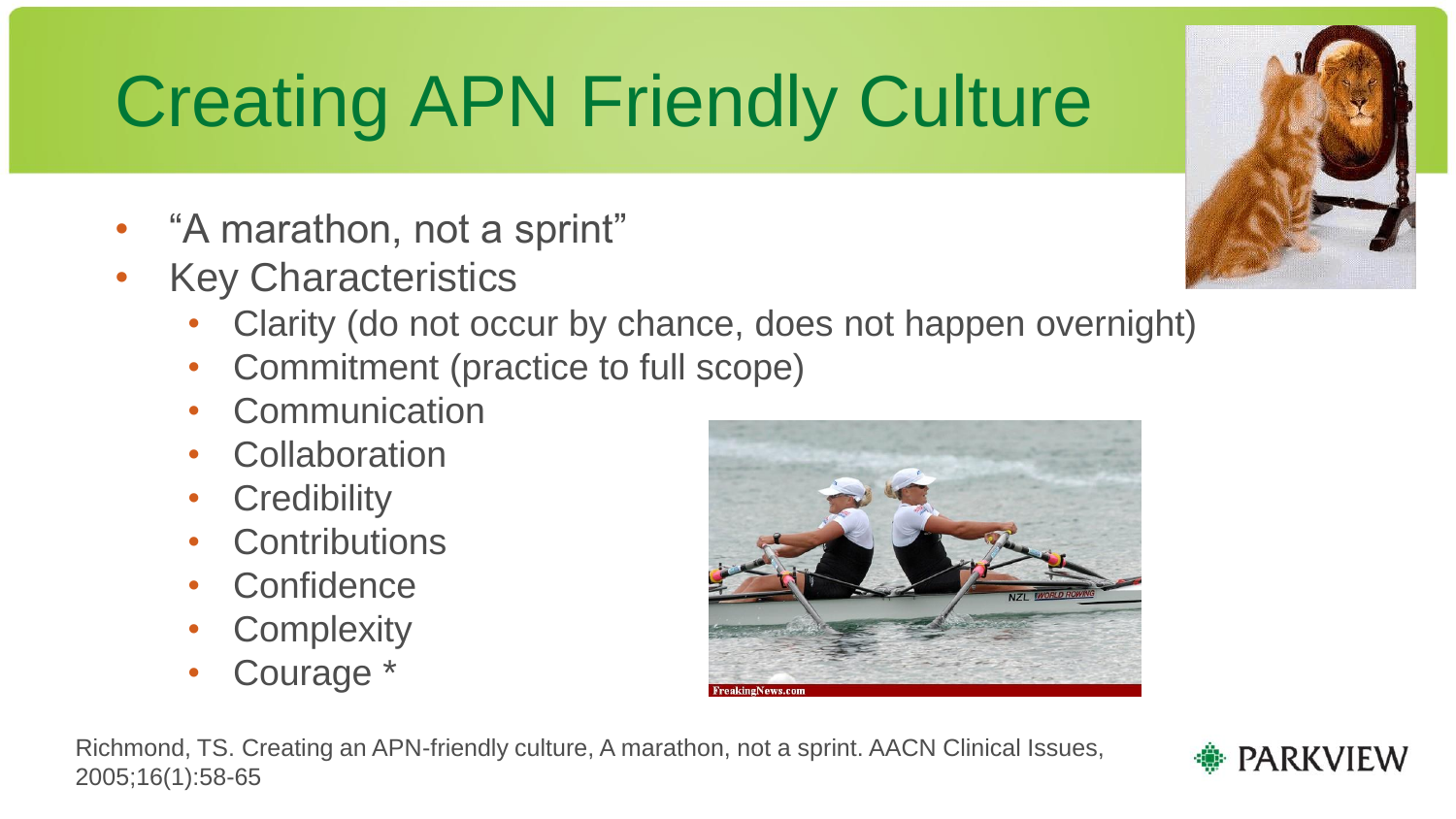#### Creating APN Friendly Culture

- "A marathon, not a sprint"
- Key Characteristics
	- Clarity (do not occur by chance, does not happen overnight)
	- Commitment (practice to full scope)
	- **Communication**
	- **Collaboration**
	- **Credibility**
	- **Contributions**
	- **Confidence**
	- **Complexity**
	- Courage \*







**PARKVIEW** 

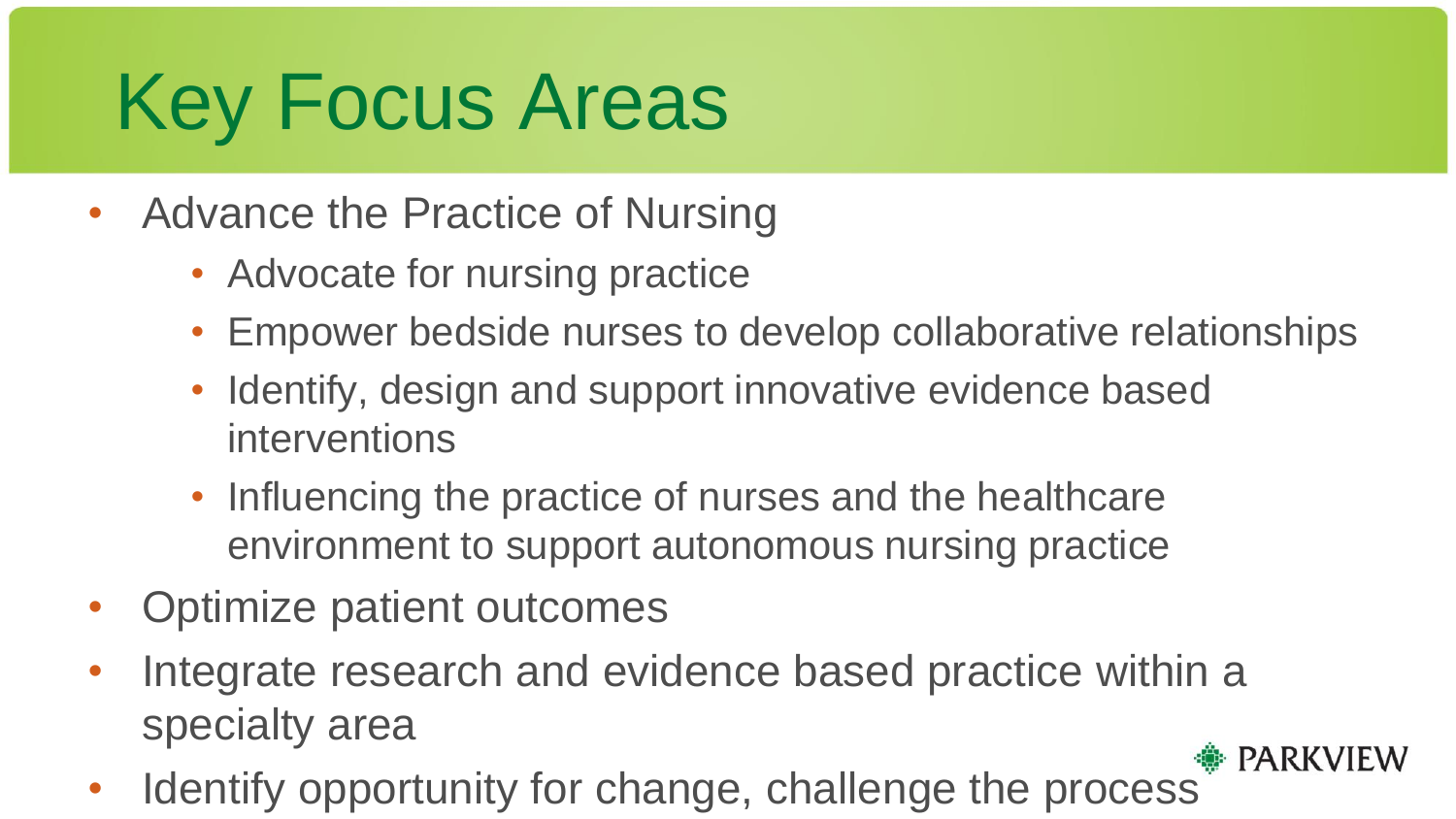#### Key Focus Areas

- Advance the Practice of Nursing
	- Advocate for nursing practice
	- Empower bedside nurses to develop collaborative relationships
	- Identify, design and support innovative evidence based interventions
	- Influencing the practice of nurses and the healthcare environment to support autonomous nursing practice
- Optimize patient outcomes
- Integrate research and evidence based practice within a specialty area **PARKVIEW**
- Identify opportunity for change, challenge the process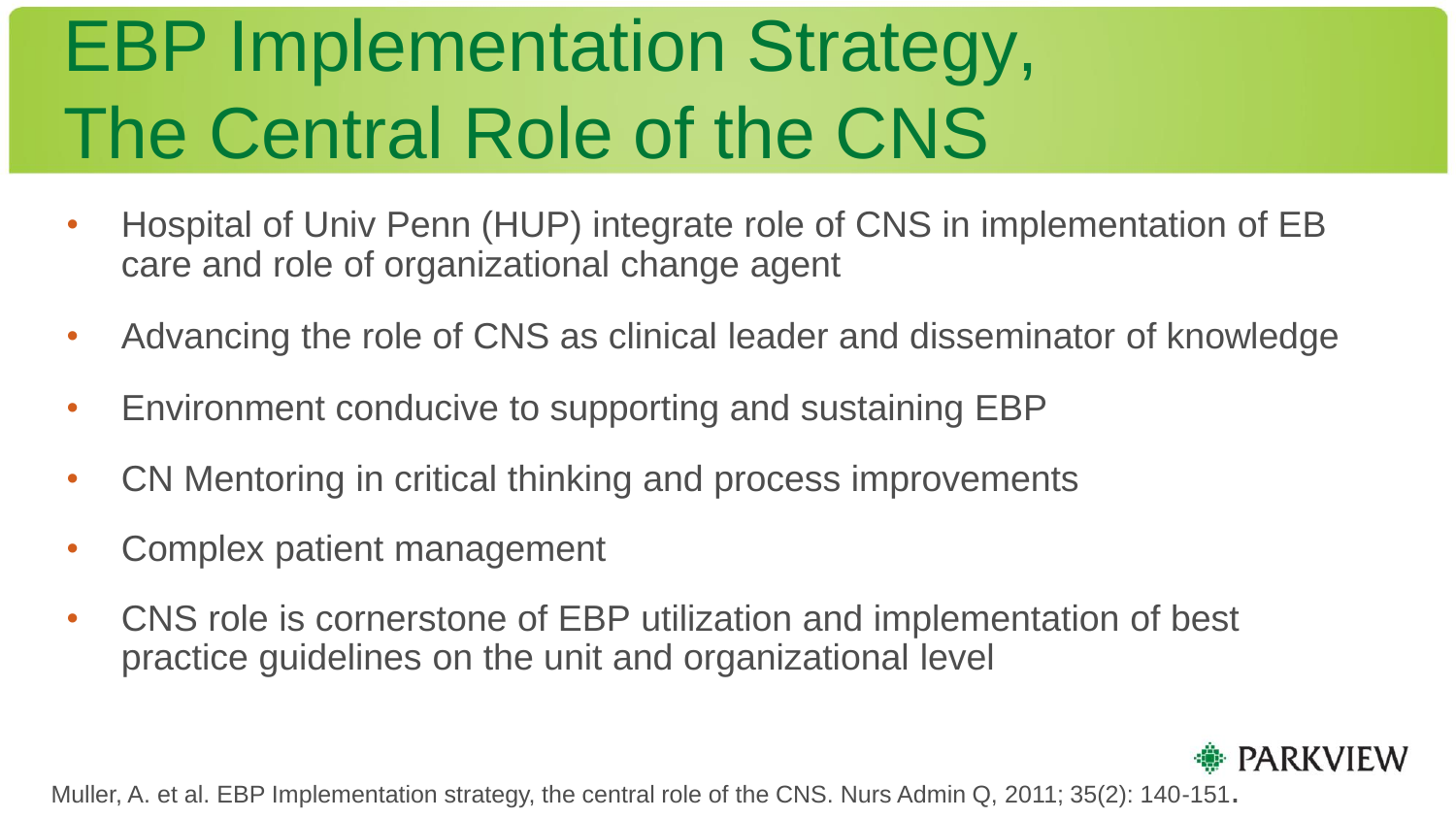#### EBP Implementation Strategy, The Central Role of the CNS

- Hospital of Univ Penn (HUP) integrate role of CNS in implementation of EB care and role of organizational change agent
- Advancing the role of CNS as clinical leader and disseminator of knowledge
- Environment conducive to supporting and sustaining EBP
- CN Mentoring in critical thinking and process improvements
- Complex patient management
- CNS role is cornerstone of EBP utilization and implementation of best practice guidelines on the unit and organizational level



Muller, A. et al. EBP Implementation strategy, the central role of the CNS. Nurs Admin Q, 2011; 35(2): 140-151.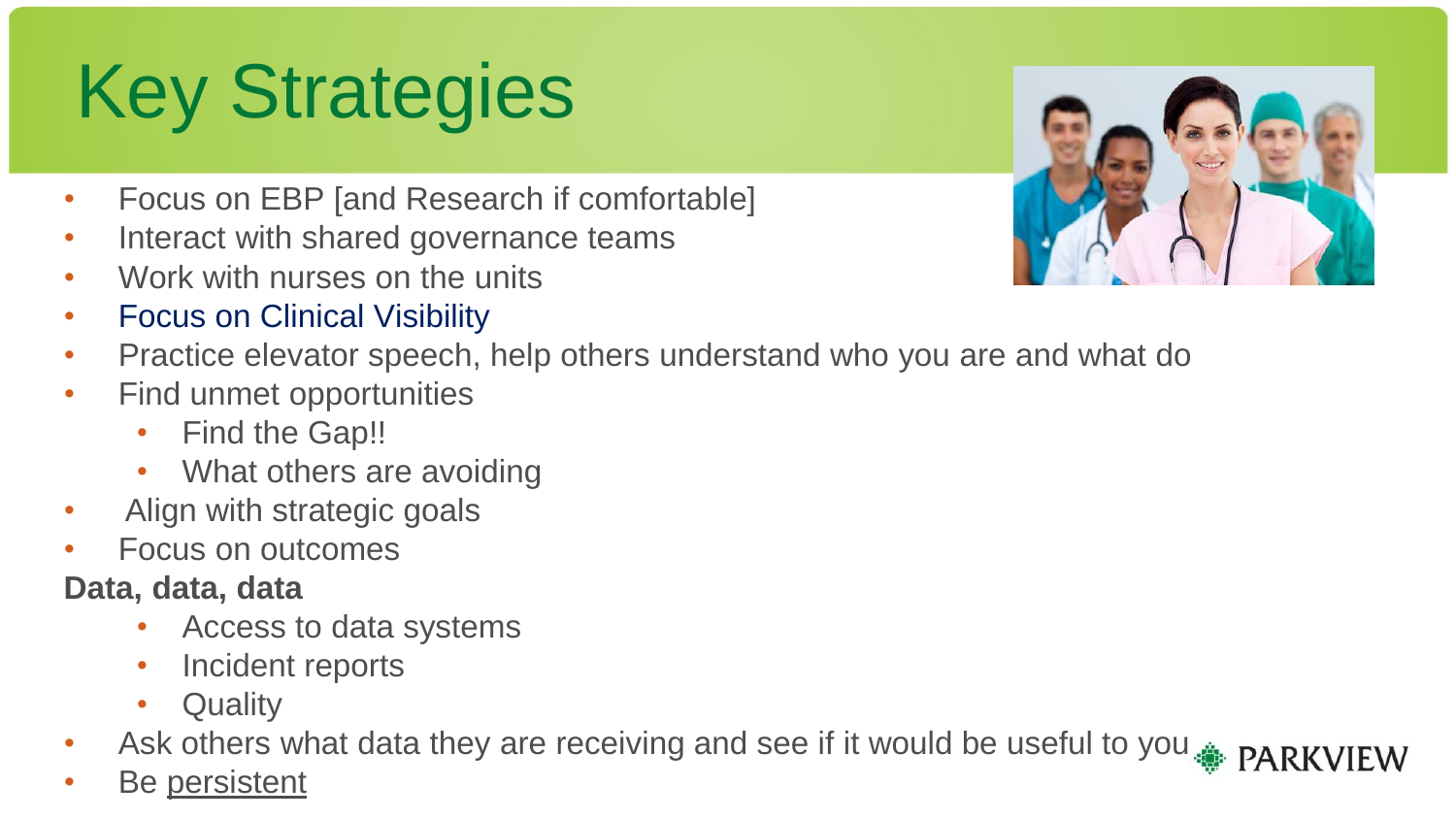#### Key Strategies

- Focus on EBP [and Research if comfortable]
- Interact with shared governance teams
- Work with nurses on the units
- Focus on Clinical Visibility
- Practice elevator speech, help others understand who you are and what do
- Find unmet opportunities
	- Find the Gap!!
	- What others are avoiding
- Align with strategic goals
- Focus on outcomes

#### **Data, data, data**

- Access to data systems
- Incident reports
- **Quality**
- Ask others what data they are receiving and see if it would be useful to you. PARKVIEW
- Be persistent

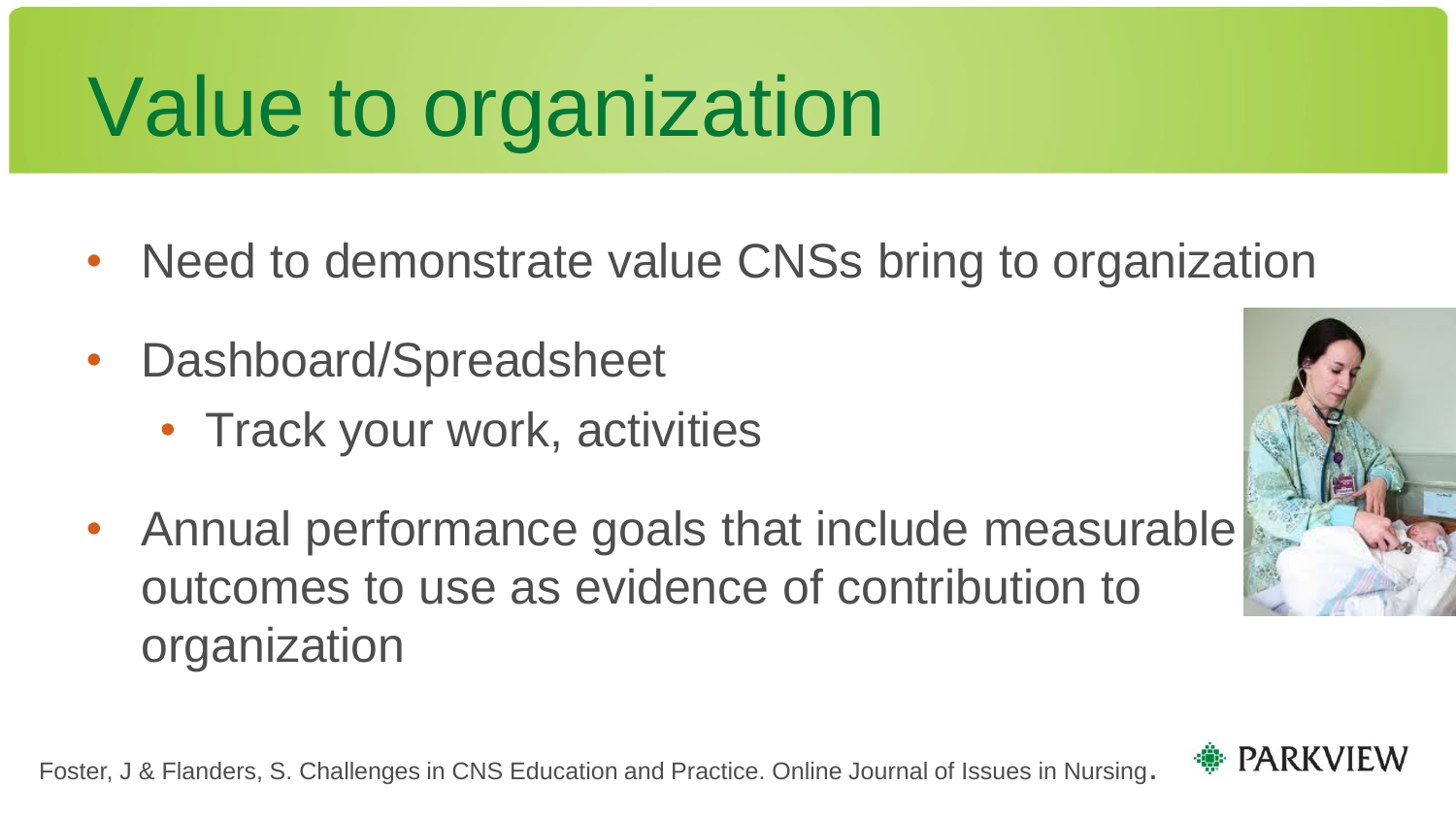# Value to organization

- Need to demonstrate value CNSs bring to organization
- Dashboard/Spreadsheet
	- Track your work, activities
- Annual performance goals that include measurable outcomes to use as evidence of contribution to organization





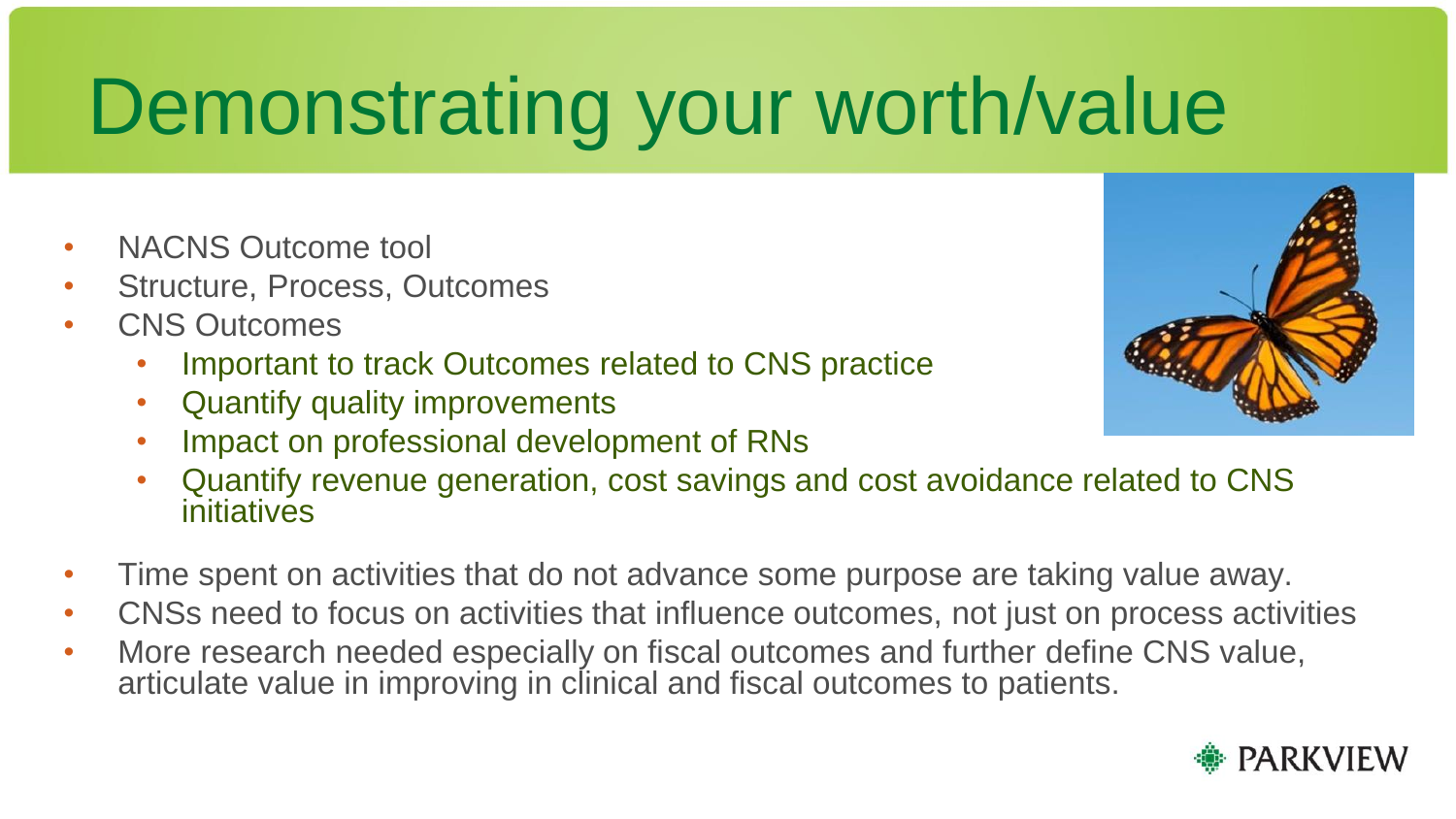# Demonstrating your worth/value

- NACNS Outcome tool
- Structure, Process, Outcomes
- CNS Outcomes
	- Important to track Outcomes related to CNS practice
	- Quantify quality improvements
	- Impact on professional development of RNs
	- Quantify revenue generation, cost savings and cost avoidance related to CNS initiatives
- Time spent on activities that do not advance some purpose are taking value away.
- CNSs need to focus on activities that influence outcomes, not just on process activities
- More research needed especially on fiscal outcomes and further define CNS value, articulate value in improving in clinical and fiscal outcomes to patients.